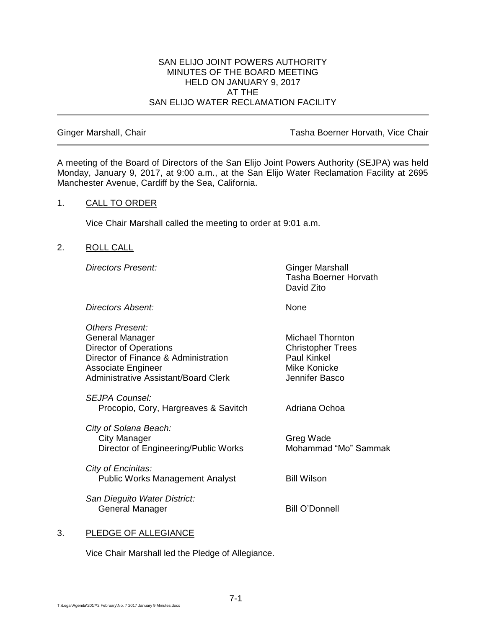#### SAN ELIJO JOINT POWERS AUTHORITY MINUTES OF THE BOARD MEETING HELD ON JANUARY 9, 2017 AT THE SAN ELIJO WATER RECLAMATION FACILITY

Ginger Marshall, Chair **Tasha Boerner Horvath, Vice Chair** Tasha Boerner Horvath, Vice Chair

A meeting of the Board of Directors of the San Elijo Joint Powers Authority (SEJPA) was held Monday, January 9, 2017, at 9:00 a.m., at the San Elijo Water Reclamation Facility at 2695 Manchester Avenue, Cardiff by the Sea, California.

#### 1. CALL TO ORDER

Vice Chair Marshall called the meeting to order at 9:01 a.m.

#### 2. ROLL CALL

**Directors Present:** Ginger Marshall

Tasha Boerner Horvath David Zito

*Directors Absent:* None

*Others Present:* General Manager Michael Thornton Director of Operations **Christopher Trees** Director of Finance & Administration Paul Kinkel Associate Engineer Mike Konicke Administrative Assistant/Board Clerk Jennifer Basco

*SEJPA Counsel:* Procopio, Cory, Hargreaves & Savitch Adriana Ochoa

*City of Solana Beach:* City Manager Greg Wade Director of Engineering/Public Works Mohammad "Mo" Sammak

*City of Encinitas:* Public Works Management Analyst Bill Wilson

*San Dieguito Water District:* General Manager Bill O'Donnell

# 3. PLEDGE OF ALLEGIANCE

Vice Chair Marshall led the Pledge of Allegiance.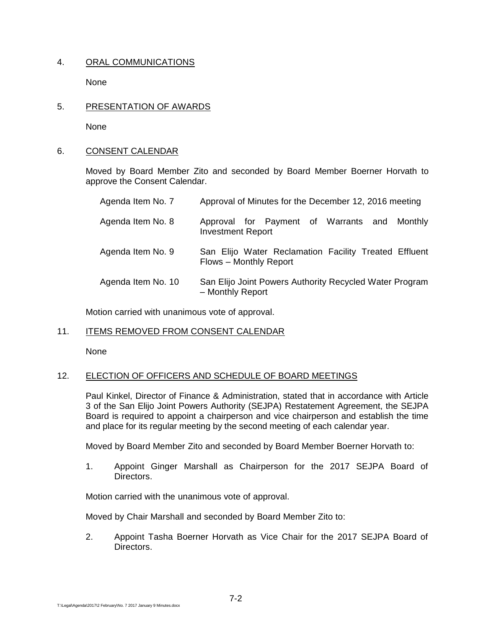# 4. ORAL COMMUNICATIONS

None

5. PRESENTATION OF AWARDS

None

#### 6. CONSENT CALENDAR

Moved by Board Member Zito and seconded by Board Member Boerner Horvath to approve the Consent Calendar.

| Agenda Item No. 7  | Approval of Minutes for the December 12, 2016 meeting                           |
|--------------------|---------------------------------------------------------------------------------|
| Agenda Item No. 8  | Approval for Payment of Warrants and<br>Monthly<br><b>Investment Report</b>     |
| Agenda Item No. 9  | San Elijo Water Reclamation Facility Treated Effluent<br>Flows - Monthly Report |
| Agenda Item No. 10 | San Elijo Joint Powers Authority Recycled Water Program<br>- Monthly Report     |

Motion carried with unanimous vote of approval.

# 11. ITEMS REMOVED FROM CONSENT CALENDAR

None

# 12. ELECTION OF OFFICERS AND SCHEDULE OF BOARD MEETINGS

Paul Kinkel, Director of Finance & Administration, stated that in accordance with Article 3 of the San Elijo Joint Powers Authority (SEJPA) Restatement Agreement, the SEJPA Board is required to appoint a chairperson and vice chairperson and establish the time and place for its regular meeting by the second meeting of each calendar year.

Moved by Board Member Zito and seconded by Board Member Boerner Horvath to:

1. Appoint Ginger Marshall as Chairperson for the 2017 SEJPA Board of Directors.

Motion carried with the unanimous vote of approval.

Moved by Chair Marshall and seconded by Board Member Zito to:

2. Appoint Tasha Boerner Horvath as Vice Chair for the 2017 SEJPA Board of Directors.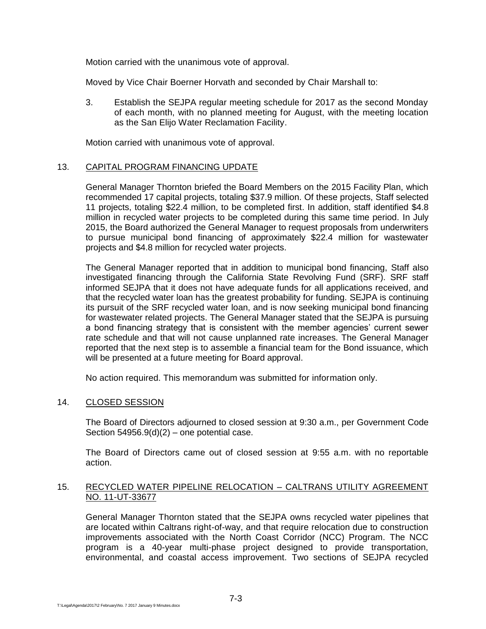Motion carried with the unanimous vote of approval.

Moved by Vice Chair Boerner Horvath and seconded by Chair Marshall to:

3. Establish the SEJPA regular meeting schedule for 2017 as the second Monday of each month, with no planned meeting for August, with the meeting location as the San Elijo Water Reclamation Facility.

Motion carried with unanimous vote of approval.

# 13. CAPITAL PROGRAM FINANCING UPDATE

General Manager Thornton briefed the Board Members on the 2015 Facility Plan, which recommended 17 capital projects, totaling \$37.9 million. Of these projects, Staff selected 11 projects, totaling \$22.4 million, to be completed first. In addition, staff identified \$4.8 million in recycled water projects to be completed during this same time period. In July 2015, the Board authorized the General Manager to request proposals from underwriters to pursue municipal bond financing of approximately \$22.4 million for wastewater projects and \$4.8 million for recycled water projects.

The General Manager reported that in addition to municipal bond financing, Staff also investigated financing through the California State Revolving Fund (SRF). SRF staff informed SEJPA that it does not have adequate funds for all applications received, and that the recycled water loan has the greatest probability for funding. SEJPA is continuing its pursuit of the SRF recycled water loan, and is now seeking municipal bond financing for wastewater related projects. The General Manager stated that the SEJPA is pursuing a bond financing strategy that is consistent with the member agencies' current sewer rate schedule and that will not cause unplanned rate increases. The General Manager reported that the next step is to assemble a financial team for the Bond issuance, which will be presented at a future meeting for Board approval.

No action required. This memorandum was submitted for information only.

# 14. CLOSED SESSION

The Board of Directors adjourned to closed session at 9:30 a.m., per Government Code Section  $54956.9(d)(2)$  – one potential case.

The Board of Directors came out of closed session at 9:55 a.m. with no reportable action.

#### 15. RECYCLED WATER PIPELINE RELOCATION – CALTRANS UTILITY AGREEMENT NO. 11-UT-33677

General Manager Thornton stated that the SEJPA owns recycled water pipelines that are located within Caltrans right-of-way, and that require relocation due to construction improvements associated with the North Coast Corridor (NCC) Program. The NCC program is a 40-year multi-phase project designed to provide transportation, environmental, and coastal access improvement. Two sections of SEJPA recycled